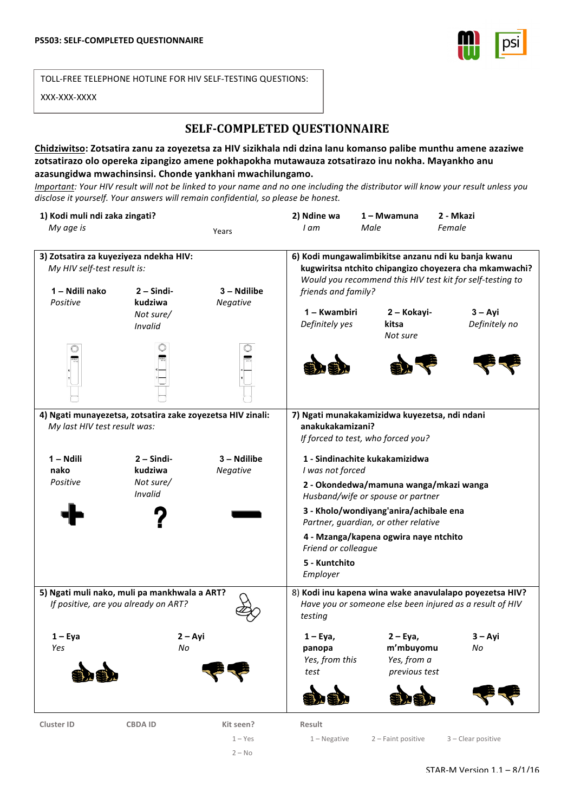

TOLL-FREE TELEPHONE HOTLINE FOR HIV SELF-TESTING QUESTIONS:

XXX-XXX-XXXX

## **SELF-COMPLETED QUESTIONNAIRE**

## Chidziwitso: Zotsatira zanu za zoyezetsa za HIV sizikhala ndi dzina lanu komanso palibe munthu amene azaziwe zotsatirazo olo opereka zipangizo amene pokhapokha mutawauza zotsatirazo inu nokha. Mayankho anu **azasungidwa mwachinsinsi. Chonde yankhani mwachilungamo.**

*Important: Your HIV result will not be linked to your name and no one including the distributor will know your result unless you* disclose it yourself. Your answers will remain confidential, so please be honest.

| 1) Kodi muli ndi zaka zingati?                                                                                         |                                                 |                                    | 2) Ndine wa                                                                                                                                                                                                                                                                                                      | 1 – Mwamuna                                            | 2 - Mkazi                  |
|------------------------------------------------------------------------------------------------------------------------|-------------------------------------------------|------------------------------------|------------------------------------------------------------------------------------------------------------------------------------------------------------------------------------------------------------------------------------------------------------------------------------------------------------------|--------------------------------------------------------|----------------------------|
| My age is                                                                                                              |                                                 | Years                              | I am                                                                                                                                                                                                                                                                                                             | Male                                                   | Female                     |
| 3) Zotsatira za kuyeziyeza ndekha HIV:<br>My HIV self-test result is:<br>1 - Ndili nako<br>$2 -$ Sindi-<br>3 – Ndilibe |                                                 |                                    | 6) Kodi mungawalimbikitse anzanu ndi ku banja kwanu<br>kugwiritsa ntchito chipangizo choyezera cha mkamwachi?<br>Would you recommend this HIV test kit for self-testing to<br>friends and family?                                                                                                                |                                                        |                            |
| Positive                                                                                                               | kudziwa<br>Not sure/<br>Invalid                 | Negative                           | 1 – Kwambiri<br>Definitely yes                                                                                                                                                                                                                                                                                   | 2 - Kokayi-<br>kitsa<br>Not sure                       | $3 - Ayi$<br>Definitely no |
|                                                                                                                        |                                                 |                                    |                                                                                                                                                                                                                                                                                                                  |                                                        |                            |
| 4) Ngati munayezetsa, zotsatira zake zoyezetsa HIV zinali:<br>My last HIV test result was:                             |                                                 |                                    | 7) Ngati munakakamizidwa kuyezetsa, ndi ndani<br>anakukakamizani?<br>If forced to test, who forced you?                                                                                                                                                                                                          |                                                        |                            |
| 1 - Ndili<br>nako<br>Positive                                                                                          | $2 -$ Sindi-<br>kudziwa<br>Not sure/<br>Invalid | 3 - Ndilibe<br>Negative            | 1 - Sindinachite kukakamizidwa<br>I was not forced<br>2 - Okondedwa/mamuna wanga/mkazi wanga<br>Husband/wife or spouse or partner<br>3 - Kholo/wondiyang'anira/achibale ena<br>Partner, guardian, or other relative<br>4 - Mzanga/kapena ogwira naye ntchito<br>Friend or colleague<br>5 - Kuntchito<br>Employer |                                                        |                            |
| 5) Ngati muli nako, muli pa mankhwala a ART?<br>If positive, are you already on ART?                                   |                                                 |                                    | 8) Kodi inu kapena wina wake anavulalapo poyezetsa HIV?<br>Have you or someone else been injured as a result of HIV<br>testing                                                                                                                                                                                   |                                                        |                            |
| $1 - Eya$<br>Yes                                                                                                       | $2 - Avi$<br>No                                 |                                    | $1 - Eya$ ,<br>panopa<br>Yes, from this<br>test                                                                                                                                                                                                                                                                  | $2 - Eya$<br>m'mbuyomu<br>Yes, from a<br>previous test | $3 - Avi$<br>No            |
| <b>Cluster ID</b>                                                                                                      | <b>CBDAID</b>                                   | Kit seen?<br>$1 - Yes$<br>$2 - No$ | Result<br>$1 -$ Negative                                                                                                                                                                                                                                                                                         | 2 - Faint positive                                     | 3 - Clear positive         |